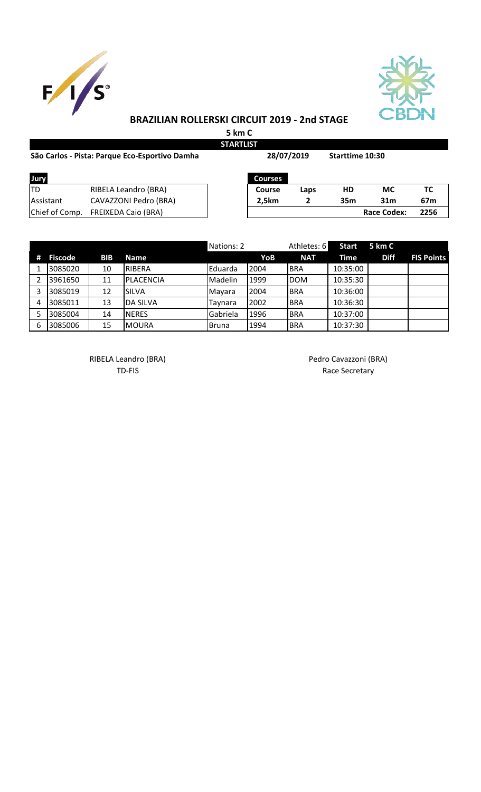



## **BRAZILIAN ROLLERSKI CIRCUIT 2019 - 2nd STAGE**

**5 km C STARTLIST**

| São Carlos - Pista: Parque Eco-Esportivo Damha | 28/07/2019                 |                | <b>Starttime 10:30</b> |                 |                    |                 |
|------------------------------------------------|----------------------------|----------------|------------------------|-----------------|--------------------|-----------------|
| Jury                                           |                            | <b>Courses</b> |                        |                 |                    |                 |
| ltd                                            | RIBELA Leandro (BRA)       | <b>Course</b>  | Laps                   | HD              | МC                 | ТC              |
| <b>Assistant</b>                               | CAVAZZONI Pedro (BRA)      | 2.5km          | $\mathbf{2}$           | 35 <sub>m</sub> | 31 <sub>m</sub>    | 67 <sub>m</sub> |
| Chief of Comp.                                 | <b>FREIXEDA Caio (BRA)</b> |                |                        |                 | <b>Race Codex:</b> | 2256            |

|   |                |            |                  | Nations: 2 |      | Athletes: 6 | <b>Start</b> | 5 km C      |                   |
|---|----------------|------------|------------------|------------|------|-------------|--------------|-------------|-------------------|
| # | <b>Fiscode</b> | <b>BIB</b> | <b>Name</b>      |            | YoB  | <b>NAT</b>  | Time         | <b>Diff</b> | <b>FIS Points</b> |
|   | 3085020        | 10         | <b>RIBERA</b>    | Eduarda    | 2004 | <b>BRA</b>  | 10:35:00     |             |                   |
|   | 3961650        | 11         | <b>PLACENCIA</b> | Madelin    | 1999 | <b>DOM</b>  | 10:35:30     |             |                   |
| 3 | 3085019        | 12         | <b>SILVA</b>     | Mayara     | 2004 | <b>BRA</b>  | 10:36:00     |             |                   |
| 4 | 3085011        | 13         | <b>DA SILVA</b>  | Taynara    | 2002 | <b>BRA</b>  | 10:36:30     |             |                   |
|   | 3085004        | 14         | <b>NERES</b>     | Gabriela   | 1996 | <b>BRA</b>  | 10:37:00     |             |                   |
| 6 | 3085006        | 15         | MOURA            | Bruna      | 1994 | <b>BRA</b>  | 10:37:30     |             |                   |

RIBELA Leandro (BRA) and a control of the Pedro Cavazzoni (BRA)

TD-FIS Race Secretary